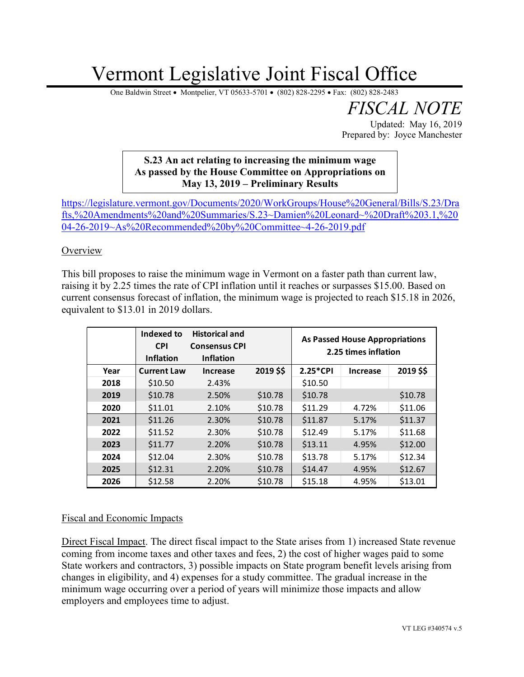# Vermont Legislative Joint Fiscal Office

One Baldwin Street • Montpelier, VT 05633-5701 • (802) 828-2295 • Fax: (802) 828-2483

*FISCAL NOTE* Updated: May 16, 2019

Prepared by: Joyce Manchester

## **S.23 An act relating to increasing the minimum wage As passed by the House Committee on Appropriations on May 13, 2019 – Preliminary Results**

[https://legislature.vermont.gov/Documents/2020/WorkGroups/House%20General/Bills/S.23/Dra](https://legislature.vermont.gov/Documents/2020/WorkGroups/House%20General/Bills/S.23/Drafts,%20Amendments%20and%20Summaries/S.23~Damien%20Leonard~%20Draft%203.1,%2004-26-2019~As%20Recommended%20by%20Committee~4-26-2019.pdf) [fts,%20Amendments%20and%20Summaries/S.23~Damien%20Leonard~%20Draft%203.1,%20](https://legislature.vermont.gov/Documents/2020/WorkGroups/House%20General/Bills/S.23/Drafts,%20Amendments%20and%20Summaries/S.23~Damien%20Leonard~%20Draft%203.1,%2004-26-2019~As%20Recommended%20by%20Committee~4-26-2019.pdf) [04-26-2019~As%20Recommended%20by%20Committee~4-26-2019.pdf](https://legislature.vermont.gov/Documents/2020/WorkGroups/House%20General/Bills/S.23/Drafts,%20Amendments%20and%20Summaries/S.23~Damien%20Leonard~%20Draft%203.1,%2004-26-2019~As%20Recommended%20by%20Committee~4-26-2019.pdf)

**Overview** 

This bill proposes to raise the minimum wage in Vermont on a faster path than current law, raising it by 2.25 times the rate of CPI inflation until it reaches or surpasses \$15.00. Based on current consensus forecast of inflation, the minimum wage is projected to reach \$15.18 in 2026, equivalent to \$13.01 in 2019 dollars.

|      | Indexed to<br><b>CPI</b><br><b>Inflation</b> | <b>Historical and</b><br><b>Consensus CPI</b><br><b>Inflation</b> |           | <b>As Passed House Appropriations</b><br>2.25 times inflation |                 |           |
|------|----------------------------------------------|-------------------------------------------------------------------|-----------|---------------------------------------------------------------|-----------------|-----------|
| Year | <b>Current Law</b>                           | <b>Increase</b>                                                   | 2019 \$\$ | 2.25*CPI                                                      | <b>Increase</b> | 2019 \$\$ |
| 2018 | \$10.50                                      | 2.43%                                                             |           | \$10.50                                                       |                 |           |
| 2019 | \$10.78                                      | 2.50%                                                             | \$10.78   | \$10.78                                                       |                 | \$10.78   |
| 2020 | \$11.01                                      | 2.10%                                                             | \$10.78   | \$11.29                                                       | 4.72%           | \$11.06   |
| 2021 | \$11.26                                      | 2.30%                                                             | \$10.78   | \$11.87                                                       | 5.17%           | \$11.37   |
| 2022 | \$11.52                                      | 2.30%                                                             | \$10.78   | \$12.49                                                       | 5.17%           | \$11.68   |
| 2023 | \$11.77                                      | 2.20%                                                             | \$10.78   | \$13.11                                                       | 4.95%           | \$12.00   |
| 2024 | \$12.04                                      | 2.30%                                                             | \$10.78   | \$13.78                                                       | 5.17%           | \$12.34   |
| 2025 | \$12.31                                      | 2.20%                                                             | \$10.78   | \$14.47                                                       | 4.95%           | \$12.67   |
| 2026 | \$12.58                                      | 2.20%                                                             | \$10.78   | \$15.18                                                       | 4.95%           | \$13.01   |

## Fiscal and Economic Impacts

Direct Fiscal Impact. The direct fiscal impact to the State arises from 1) increased State revenue coming from income taxes and other taxes and fees, 2) the cost of higher wages paid to some State workers and contractors, 3) possible impacts on State program benefit levels arising from changes in eligibility, and 4) expenses for a study committee. The gradual increase in the minimum wage occurring over a period of years will minimize those impacts and allow employers and employees time to adjust.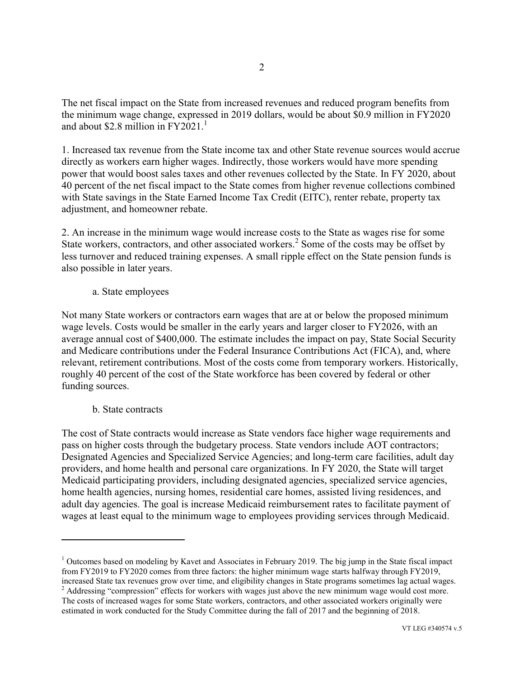The net fiscal impact on the State from increased revenues and reduced program benefits from the minimum wage change, expressed in 2019 dollars, would be about \$0.9 million in FY2020 and about \$2.8 million in  $FY2021<sup>1</sup>$ 

1. Increased tax revenue from the State income tax and other State revenue sources would accrue directly as workers earn higher wages. Indirectly, those workers would have more spending power that would boost sales taxes and other revenues collected by the State. In FY 2020, about 40 percent of the net fiscal impact to the State comes from higher revenue collections combined with State savings in the State Earned Income Tax Credit (EITC), renter rebate, property tax adjustment, and homeowner rebate.

2. An increase in the minimum wage would increase costs to the State as wages rise for some State workers, contractors, and other associated workers.<sup>2</sup> Some of the costs may be offset by less turnover and reduced training expenses. A small ripple effect on the State pension funds is also possible in later years.

a. State employees

Not many State workers or contractors earn wages that are at or below the proposed minimum wage levels. Costs would be smaller in the early years and larger closer to FY2026, with an average annual cost of \$400,000. The estimate includes the impact on pay, State Social Security and Medicare contributions under the Federal Insurance Contributions Act (FICA), and, where relevant, retirement contributions. Most of the costs come from temporary workers. Historically, roughly 40 percent of the cost of the State workforce has been covered by federal or other funding sources.

b. State contracts

 $\overline{a}$ 

The cost of State contracts would increase as State vendors face higher wage requirements and pass on higher costs through the budgetary process. State vendors include AOT contractors; Designated Agencies and Specialized Service Agencies; and long-term care facilities, adult day providers, and home health and personal care organizations. In FY 2020, the State will target Medicaid participating providers, including designated agencies, specialized service agencies, home health agencies, nursing homes, residential care homes, assisted living residences, and adult day agencies. The goal is increase Medicaid reimbursement rates to facilitate payment of wages at least equal to the minimum wage to employees providing services through Medicaid.

<sup>&</sup>lt;sup>1</sup> Outcomes based on modeling by Kavet and Associates in February 2019. The big jump in the State fiscal impact from FY2019 to FY2020 comes from three factors: the higher minimum wage starts halfway through FY2019, increased State tax revenues grow over time, and eligibility changes in State programs sometimes lag actual wages.

<sup>&</sup>lt;sup>2</sup> Addressing "compression" effects for workers with wages just above the new minimum wage would cost more. The costs of increased wages for some State workers, contractors, and other associated workers originally were estimated in work conducted for the Study Committee during the fall of 2017 and the beginning of 2018.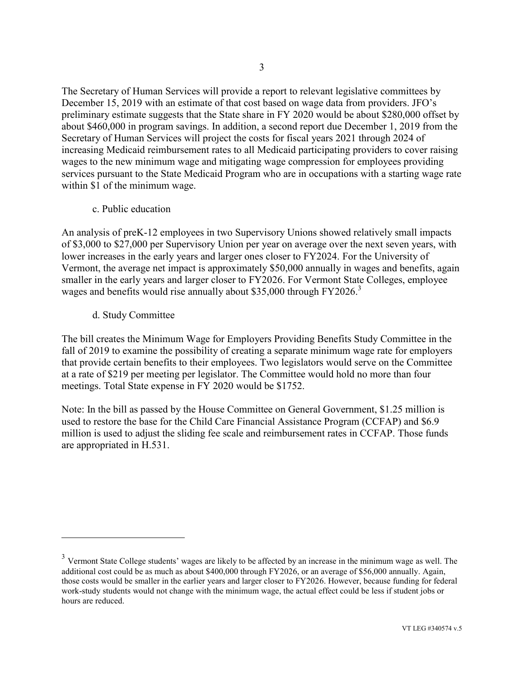The Secretary of Human Services will provide a report to relevant legislative committees by December 15, 2019 with an estimate of that cost based on wage data from providers. JFO's preliminary estimate suggests that the State share in FY 2020 would be about \$280,000 offset by about \$460,000 in program savings. In addition, a second report due December 1, 2019 from the Secretary of Human Services will project the costs for fiscal years 2021 through 2024 of increasing Medicaid reimbursement rates to all Medicaid participating providers to cover raising wages to the new minimum wage and mitigating wage compression for employees providing services pursuant to the State Medicaid Program who are in occupations with a starting wage rate within \$1 of the minimum wage.

c. Public education

An analysis of preK-12 employees in two Supervisory Unions showed relatively small impacts of \$3,000 to \$27,000 per Supervisory Union per year on average over the next seven years, with lower increases in the early years and larger ones closer to FY2024. For the University of Vermont, the average net impact is approximately \$50,000 annually in wages and benefits, again smaller in the early years and larger closer to FY2026. For Vermont State Colleges, employee wages and benefits would rise annually about \$35,000 through FY2026.<sup>3</sup>

d. Study Committee

 $\overline{a}$ 

The bill creates the Minimum Wage for Employers Providing Benefits Study Committee in the fall of 2019 to examine the possibility of creating a separate minimum wage rate for employers that provide certain benefits to their employees. Two legislators would serve on the Committee at a rate of \$219 per meeting per legislator. The Committee would hold no more than four meetings. Total State expense in FY 2020 would be \$1752.

Note: In the bill as passed by the House Committee on General Government, \$1.25 million is used to restore the base for the Child Care Financial Assistance Program (CCFAP) and \$6.9 million is used to adjust the sliding fee scale and reimbursement rates in CCFAP. Those funds are appropriated in H.531.

 $3$  Vermont State College students' wages are likely to be affected by an increase in the minimum wage as well. The additional cost could be as much as about \$400,000 through FY2026, or an average of \$56,000 annually. Again, those costs would be smaller in the earlier years and larger closer to FY2026. However, because funding for federal work-study students would not change with the minimum wage, the actual effect could be less if student jobs or hours are reduced.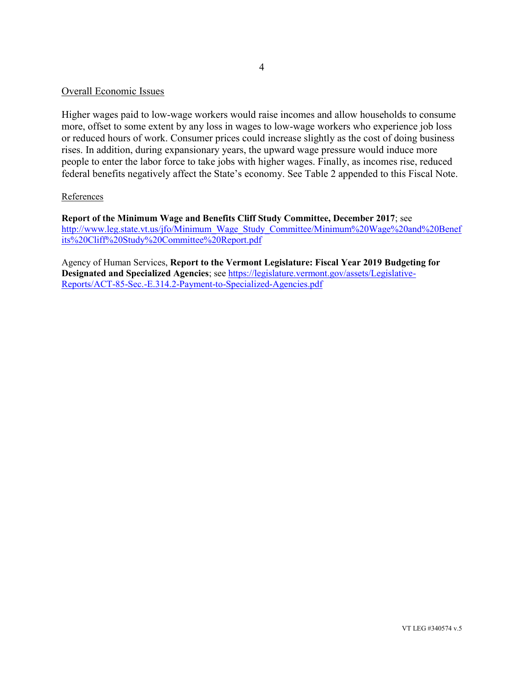#### Overall Economic Issues

Higher wages paid to low-wage workers would raise incomes and allow households to consume more, offset to some extent by any loss in wages to low-wage workers who experience job loss or reduced hours of work. Consumer prices could increase slightly as the cost of doing business rises. In addition, during expansionary years, the upward wage pressure would induce more people to enter the labor force to take jobs with higher wages. Finally, as incomes rise, reduced federal benefits negatively affect the State's economy. See Table 2 appended to this Fiscal Note.

#### **References**

**Report of the Minimum Wage and Benefits Cliff Study Committee, December 2017**; see [http://www.leg.state.vt.us/jfo/Minimum\\_Wage\\_Study\\_Committee/Minimum%20Wage%20and%20Benef](http://www.leg.state.vt.us/jfo/Minimum_Wage_Study_Committee/Minimum%20Wage%20and%20Benefits%20Cliff%20Study%20Committee%20Report.pdf) [its%20Cliff%20Study%20Committee%20Report.pdf](http://www.leg.state.vt.us/jfo/Minimum_Wage_Study_Committee/Minimum%20Wage%20and%20Benefits%20Cliff%20Study%20Committee%20Report.pdf)

Agency of Human Services, **Report to the Vermont Legislature: Fiscal Year 2019 Budgeting for Designated and Specialized Agencies**; se[e https://legislature.vermont.gov/assets/Legislative-](https://legislature.vermont.gov/assets/Legislative-Reports/ACT-85-Sec.-E.314.2-Payment-to-Specialized-Agencies.pdf)[Reports/ACT-85-Sec.-E.314.2-Payment-to-Specialized-Agencies.pdf](https://legislature.vermont.gov/assets/Legislative-Reports/ACT-85-Sec.-E.314.2-Payment-to-Specialized-Agencies.pdf)